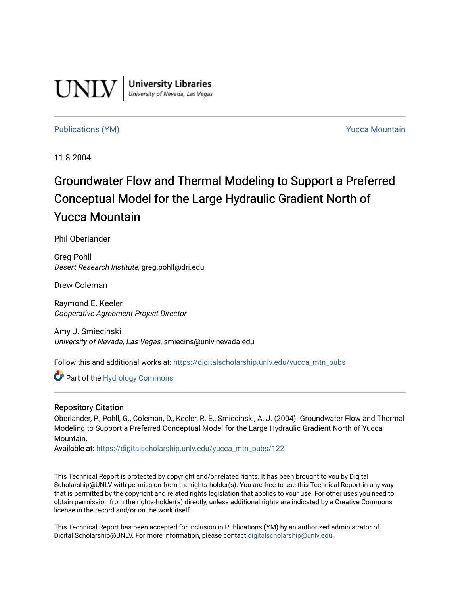

**University Libraries**<br>University of Nevada, Las Vegas

#### [Publications \(YM\)](https://digitalscholarship.unlv.edu/yucca_mtn_pubs) **Publications (YM) Publications (YM) Publications** (*YM*)

11-8-2004

# Groundwater Flow and Thermal Modeling to Support a Preferred Conceptual Model for the Large Hydraulic Gradient North of Yucca Mountain

Phil Oberlander

Greg Pohll Desert Research Institute, greg.pohll@dri.edu

Drew Coleman

Raymond E. Keeler Cooperative Agreement Project Director

Amy J. Smiecinski University of Nevada, Las Vegas, smiecins@unlv.nevada.edu

Follow this and additional works at: [https://digitalscholarship.unlv.edu/yucca\\_mtn\\_pubs](https://digitalscholarship.unlv.edu/yucca_mtn_pubs?utm_source=digitalscholarship.unlv.edu%2Fyucca_mtn_pubs%2F122&utm_medium=PDF&utm_campaign=PDFCoverPages)

Part of the [Hydrology Commons](http://network.bepress.com/hgg/discipline/1054?utm_source=digitalscholarship.unlv.edu%2Fyucca_mtn_pubs%2F122&utm_medium=PDF&utm_campaign=PDFCoverPages) 

#### Repository Citation

Oberlander, P., Pohll, G., Coleman, D., Keeler, R. E., Smiecinski, A. J. (2004). Groundwater Flow and Thermal Modeling to Support a Preferred Conceptual Model for the Large Hydraulic Gradient North of Yucca Mountain.

Available at: [https://digitalscholarship.unlv.edu/yucca\\_mtn\\_pubs/122](https://digitalscholarship.unlv.edu/yucca_mtn_pubs/122) 

This Technical Report is protected by copyright and/or related rights. It has been brought to you by Digital Scholarship@UNLV with permission from the rights-holder(s). You are free to use this Technical Report in any way that is permitted by the copyright and related rights legislation that applies to your use. For other uses you need to obtain permission from the rights-holder(s) directly, unless additional rights are indicated by a Creative Commons license in the record and/or on the work itself.

This Technical Report has been accepted for inclusion in Publications (YM) by an authorized administrator of Digital Scholarship@UNLV. For more information, please contact [digitalscholarship@unlv.edu](mailto:digitalscholarship@unlv.edu).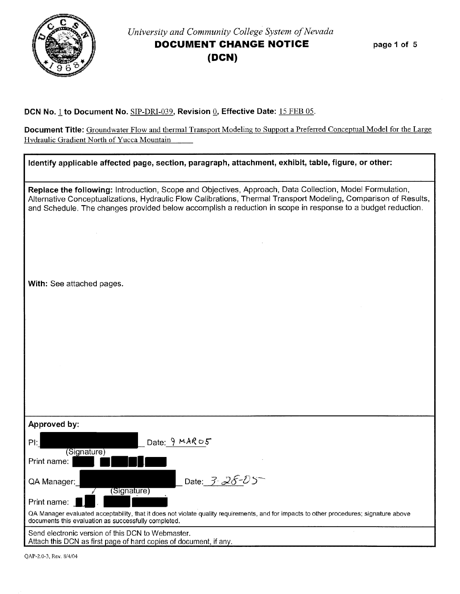

## *University and Community College System of Nevada*  **DOCUMENT CHANGE NOTICE (DCN)**

**page 1 of 5** 

#### **DCN** No.1 **to Document No.** SIP-DRI-039, **Revision** *Q,* **Effective Date:** 15 FEB 05.

**Document Title:** Groundwater Flow and thermal Transport Modeling to Support a Preferred Conceptual Model for the Large Hydraulic Gradient North of Yucca Mountain  $\overline{\phantom{a}}$ 

| Identify applicable affected page, section, paragraph, attachment, exhibit, table, figure, or other:                                                                                                                                                                                                                                       |
|--------------------------------------------------------------------------------------------------------------------------------------------------------------------------------------------------------------------------------------------------------------------------------------------------------------------------------------------|
| Replace the following: Introduction, Scope and Objectives, Approach, Data Collection, Model Formulation,<br>Alternative Conceptualizations, Hydraulic Flow Calibrations, Thermal Transport Modeling, Comparison of Results,<br>and Schedule. The changes provided below accomplish a reduction in scope in response to a budget reduction. |
|                                                                                                                                                                                                                                                                                                                                            |
| With: See attached pages.                                                                                                                                                                                                                                                                                                                  |
|                                                                                                                                                                                                                                                                                                                                            |
|                                                                                                                                                                                                                                                                                                                                            |
|                                                                                                                                                                                                                                                                                                                                            |
|                                                                                                                                                                                                                                                                                                                                            |
| Approved by:                                                                                                                                                                                                                                                                                                                               |
| Date: $9MARO5$<br>Pl:<br>(Signature)                                                                                                                                                                                                                                                                                                       |
| Print name:                                                                                                                                                                                                                                                                                                                                |
| Date: 3-28-05<br>QA Manager:<br>(Signature)                                                                                                                                                                                                                                                                                                |
| Print name:                                                                                                                                                                                                                                                                                                                                |
| QA Manager evaluated acceptability, that it does not violate quality requirements, and for impacts to other procedures; signature above<br>documents this evaluation as successfully completed.                                                                                                                                            |
| Send electronic version of this DCN to Webmaster.<br>Attach this DCN as first page of hard copies of document, if any.                                                                                                                                                                                                                     |

QAP-2.0-3, Rev. 8/4/04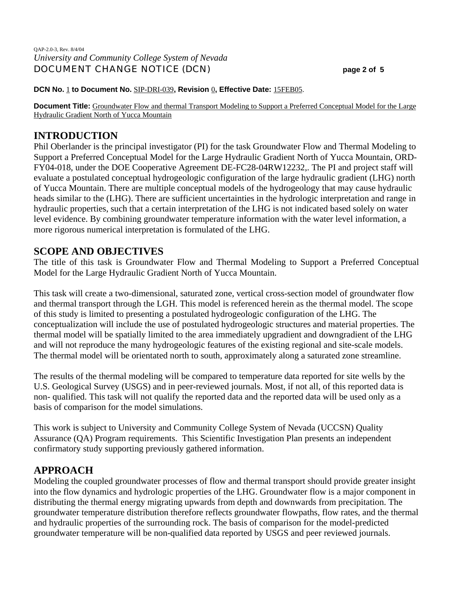#### QAP-2.0-3, Rev. 8/4/04 *University and Community College System of Nevada* DOCUMENT CHANGE NOTICE (DCN) **page 2 of 5**

#### **DCN No.** 1 **to Document No.** SIP-DRI-039**, Revision** 0**, Effective Date:** 15FEB05.

**Document Title:** Groundwater Flow and thermal Transport Modeling to Support a Preferred Conceptual Model for the Large Hydraulic Gradient North of Yucca Mountain

## **INTRODUCTION**

Phil Oberlander is the principal investigator (PI) for the task Groundwater Flow and Thermal Modeling to Support a Preferred Conceptual Model for the Large Hydraulic Gradient North of Yucca Mountain, ORD-FY04-018, under the DOE Cooperative Agreement DE-FC28-04RW12232,. The PI and project staff will evaluate a postulated conceptual hydrogeologic configuration of the large hydraulic gradient (LHG) north of Yucca Mountain. There are multiple conceptual models of the hydrogeology that may cause hydraulic heads similar to the (LHG). There are sufficient uncertainties in the hydrologic interpretation and range in hydraulic properties, such that a certain interpretation of the LHG is not indicated based solely on water level evidence. By combining groundwater temperature information with the water level information, a more rigorous numerical interpretation is formulated of the LHG.

## **SCOPE AND OBJECTIVES**

The title of this task is Groundwater Flow and Thermal Modeling to Support a Preferred Conceptual Model for the Large Hydraulic Gradient North of Yucca Mountain.

This task will create a two-dimensional, saturated zone, vertical cross-section model of groundwater flow and thermal transport through the LGH. This model is referenced herein as the thermal model. The scope of this study is limited to presenting a postulated hydrogeologic configuration of the LHG. The conceptualization will include the use of postulated hydrogeologic structures and material properties. The thermal model will be spatially limited to the area immediately upgradient and downgradient of the LHG and will not reproduce the many hydrogeologic features of the existing regional and site-scale models. The thermal model will be orientated north to south, approximately along a saturated zone streamline.

The results of the thermal modeling will be compared to temperature data reported for site wells by the U.S. Geological Survey (USGS) and in peer-reviewed journals. Most, if not all, of this reported data is non- qualified. This task will not qualify the reported data and the reported data will be used only as a basis of comparison for the model simulations.

This work is subject to University and Community College System of Nevada (UCCSN) Quality Assurance (QA) Program requirements. This Scientific Investigation Plan presents an independent confirmatory study supporting previously gathered information.

## **APPROACH**

Modeling the coupled groundwater processes of flow and thermal transport should provide greater insight into the flow dynamics and hydrologic properties of the LHG. Groundwater flow is a major component in distributing the thermal energy migrating upwards from depth and downwards from precipitation. The groundwater temperature distribution therefore reflects groundwater flowpaths, flow rates, and the thermal and hydraulic properties of the surrounding rock. The basis of comparison for the model-predicted groundwater temperature will be non-qualified data reported by USGS and peer reviewed journals.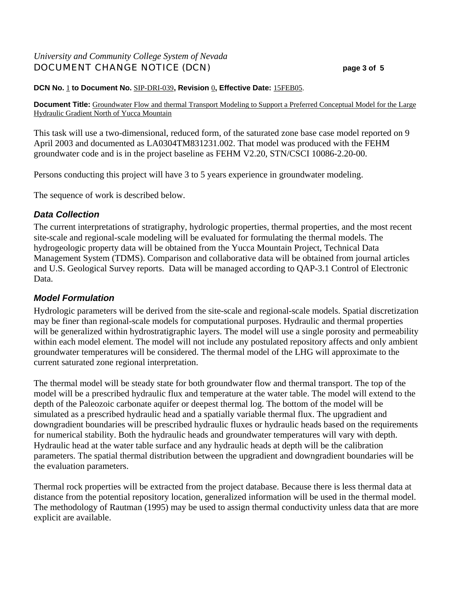## *University and Community College System of Nevada* DOCUMENT CHANGE NOTICE (DCN) **page 3 of 5**

#### **DCN No.** 1 **to Document No.** SIP-DRI-039**, Revision** 0**, Effective Date:** 15FEB05.

**Document Title:** Groundwater Flow and thermal Transport Modeling to Support a Preferred Conceptual Model for the Large Hydraulic Gradient North of Yucca Mountain

This task will use a two-dimensional, reduced form, of the saturated zone base case model reported on 9 April 2003 and documented as LA0304TM831231.002. That model was produced with the FEHM groundwater code and is in the project baseline as FEHM V2.20, STN/CSCI 10086-2.20-00.

Persons conducting this project will have 3 to 5 years experience in groundwater modeling.

The sequence of work is described below.

## *Data Collection*

The current interpretations of stratigraphy, hydrologic properties, thermal properties, and the most recent site-scale and regional-scale modeling will be evaluated for formulating the thermal models. The hydrogeologic property data will be obtained from the Yucca Mountain Project, Technical Data Management System (TDMS). Comparison and collaborative data will be obtained from journal articles and U.S. Geological Survey reports. Data will be managed according to QAP-3.1 Control of Electronic Data.

### *Model Formulation*

Hydrologic parameters will be derived from the site-scale and regional-scale models. Spatial discretization may be finer than regional-scale models for computational purposes. Hydraulic and thermal properties will be generalized within hydrostratigraphic layers. The model will use a single porosity and permeability within each model element. The model will not include any postulated repository affects and only ambient groundwater temperatures will be considered. The thermal model of the LHG will approximate to the current saturated zone regional interpretation.

The thermal model will be steady state for both groundwater flow and thermal transport. The top of the model will be a prescribed hydraulic flux and temperature at the water table. The model will extend to the depth of the Paleozoic carbonate aquifer or deepest thermal log. The bottom of the model will be simulated as a prescribed hydraulic head and a spatially variable thermal flux. The upgradient and downgradient boundaries will be prescribed hydraulic fluxes or hydraulic heads based on the requirements for numerical stability. Both the hydraulic heads and groundwater temperatures will vary with depth. Hydraulic head at the water table surface and any hydraulic heads at depth will be the calibration parameters. The spatial thermal distribution between the upgradient and downgradient boundaries will be the evaluation parameters.

Thermal rock properties will be extracted from the project database. Because there is less thermal data at distance from the potential repository location, generalized information will be used in the thermal model. The methodology of Rautman (1995) may be used to assign thermal conductivity unless data that are more explicit are available.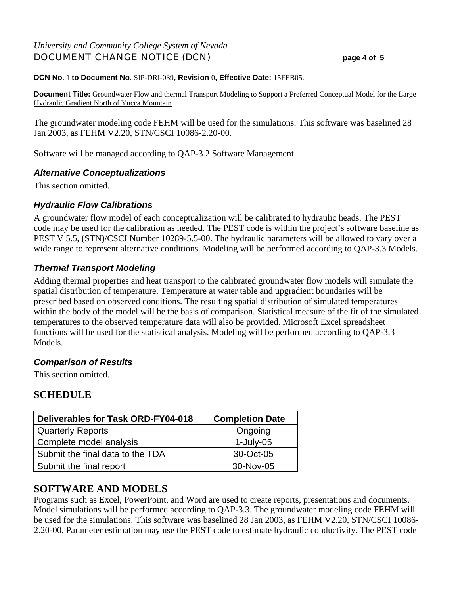## *University and Community College System of Nevada* DOCUMENT CHANGE NOTICE (DCN) **page 4 of 5**

#### **DCN No.** 1 **to Document No.** SIP-DRI-039**, Revision** 0**, Effective Date:** 15FEB05.

**Document Title:** Groundwater Flow and thermal Transport Modeling to Support a Preferred Conceptual Model for the Large Hydraulic Gradient North of Yucca Mountain

The groundwater modeling code FEHM will be used for the simulations. This software was baselined 28 Jan 2003, as FEHM V2.20, STN/CSCI 10086-2.20-00.

Software will be managed according to QAP-3.2 Software Management.

### *Alternative Conceptualizations*

This section omitted.

## *Hydraulic Flow Calibrations*

A groundwater flow model of each conceptualization will be calibrated to hydraulic heads. The PEST code may be used for the calibration as needed. The PEST code is within the project's software baseline as PEST V 5.5, (STN)/CSCI Number 10289-5.5-00. The hydraulic parameters will be allowed to vary over a wide range to represent alternative conditions. Modeling will be performed according to OAP-3.3 Models.

## *Thermal Transport Modeling*

Adding thermal properties and heat transport to the calibrated groundwater flow models will simulate the spatial distribution of temperature. Temperature at water table and upgradient boundaries will be prescribed based on observed conditions. The resulting spatial distribution of simulated temperatures within the body of the model will be the basis of comparison. Statistical measure of the fit of the simulated temperatures to the observed temperature data will also be provided. Microsoft Excel spreadsheet functions will be used for the statistical analysis. Modeling will be performed according to QAP-3.3 Models.

## *Comparison of Results*

This section omitted.

## **SCHEDULE**

| <b>Deliverables for Task ORD-FY04-018</b> | <b>Completion Date</b> |
|-------------------------------------------|------------------------|
| Quarterly Reports                         | Ongoing                |
| Complete model analysis                   | $1$ -July-05           |
| Submit the final data to the TDA          | 30-Oct-05              |
| Submit the final report                   | 30-Nov-05              |

## **SOFTWARE AND MODELS**

Programs such as Excel, PowerPoint, and Word are used to create reports, presentations and documents. Model simulations will be performed according to QAP-3.3. The groundwater modeling code FEHM will be used for the simulations. This software was baselined 28 Jan 2003, as FEHM V2.20, STN/CSCI 10086- 2.20-00. Parameter estimation may use the PEST code to estimate hydraulic conductivity. The PEST code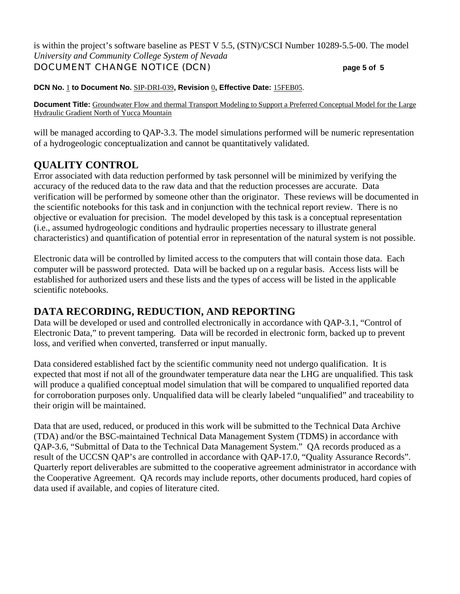is within the project's software baseline as PEST V 5.5, (STN)/CSCI Number 10289-5.5-00. The model *University and Community College System of Nevada*

## DOCUMENT CHANGE NOTICE (DCN) **page 5 of 5**

**DCN No.** 1 **to Document No.** SIP-DRI-039**, Revision** 0**, Effective Date:** 15FEB05.

**Document Title:** Groundwater Flow and thermal Transport Modeling to Support a Preferred Conceptual Model for the Large Hydraulic Gradient North of Yucca Mountain

will be managed according to OAP-3.3. The model simulations performed will be numeric representation of a hydrogeologic conceptualization and cannot be quantitatively validated.

## **QUALITY CONTROL**

Error associated with data reduction performed by task personnel will be minimized by verifying the accuracy of the reduced data to the raw data and that the reduction processes are accurate. Data verification will be performed by someone other than the originator. These reviews will be documented in the scientific notebooks for this task and in conjunction with the technical report review. There is no objective or evaluation for precision. The model developed by this task is a conceptual representation (i.e., assumed hydrogeologic conditions and hydraulic properties necessary to illustrate general characteristics) and quantification of potential error in representation of the natural system is not possible.

Electronic data will be controlled by limited access to the computers that will contain those data. Each computer will be password protected. Data will be backed up on a regular basis. Access lists will be established for authorized users and these lists and the types of access will be listed in the applicable scientific notebooks.

## **DATA RECORDING, REDUCTION, AND REPORTING**

Data will be developed or used and controlled electronically in accordance with QAP-3.1, "Control of Electronic Data," to prevent tampering. Data will be recorded in electronic form, backed up to prevent loss, and verified when converted, transferred or input manually.

Data considered established fact by the scientific community need not undergo qualification. It is expected that most if not all of the groundwater temperature data near the LHG are unqualified. This task will produce a qualified conceptual model simulation that will be compared to unqualified reported data for corroboration purposes only. Unqualified data will be clearly labeled "unqualified" and traceability to their origin will be maintained.

Data that are used, reduced, or produced in this work will be submitted to the Technical Data Archive (TDA) and/or the BSC-maintained Technical Data Management System (TDMS) in accordance with QAP-3.6, "Submittal of Data to the Technical Data Management System." QA records produced as a result of the UCCSN QAP's are controlled in accordance with QAP-17.0, "Quality Assurance Records". Quarterly report deliverables are submitted to the cooperative agreement administrator in accordance with the Cooperative Agreement. QA records may include reports, other documents produced, hard copies of data used if available, and copies of literature cited.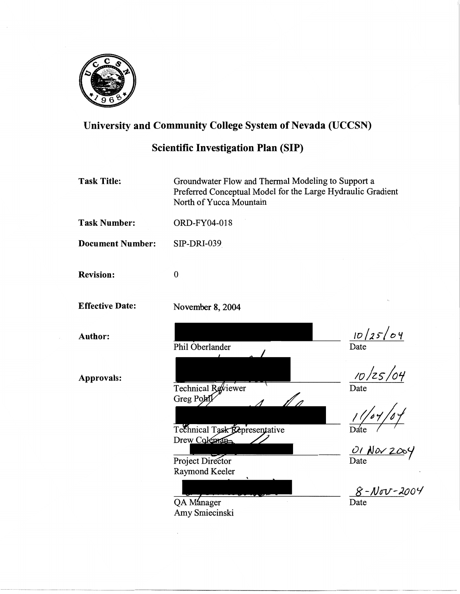

## University and Community College System of Nevada (UCCSN)

## Scientific Investigation Plan (SIP)

Task Title: Groundwater Flow and Thermal Modeling to Support a Preferred Conceptual Model for the Large Hydraulic Gradient North of Yucca Mountain

Task Number: ORD-FY04-018

Document Number: SIP-DRI-039

0

November 8, 2004

Phil Oberlander

Technical Reviewer

Greg Pohl

Revision:

Effective Date:

Approvals:

Author:

*;o/zs-/ot.;*  Date  $\frac{1}{\text{Date}}$ f/ n  $1/7,$   $5/7, 1/7$ Technical Task Representative

<u>OI</u> Nov Date

8 - Nov - 2004 Date

QA Manager<br>Amy Smiecinski

Project Director Raymond Keeler

Drew Coleman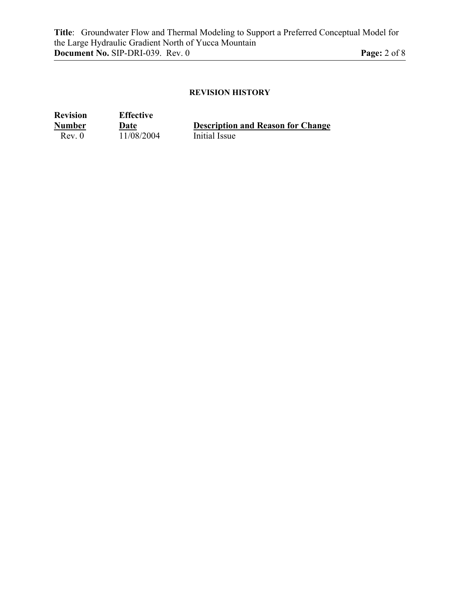### **REVISION HISTORY**

| <b>Revision</b> | <b>Effective</b> |                                          |
|-----------------|------------------|------------------------------------------|
| <b>Number</b>   | Date             | <b>Description and Reason for Change</b> |
| Rev. 0          | 11/08/2004       | Initial Issue                            |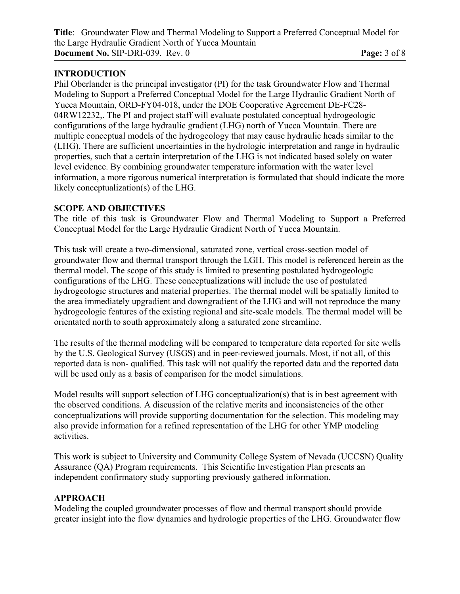## **INTRODUCTION**

Phil Oberlander is the principal investigator (PI) for the task Groundwater Flow and Thermal Modeling to Support a Preferred Conceptual Model for the Large Hydraulic Gradient North of Yucca Mountain, ORD-FY04-018, under the DOE Cooperative Agreement DE-FC28- 04RW12232,. The PI and project staff will evaluate postulated conceptual hydrogeologic configurations of the large hydraulic gradient (LHG) north of Yucca Mountain. There are multiple conceptual models of the hydrogeology that may cause hydraulic heads similar to the (LHG). There are sufficient uncertainties in the hydrologic interpretation and range in hydraulic properties, such that a certain interpretation of the LHG is not indicated based solely on water level evidence. By combining groundwater temperature information with the water level information, a more rigorous numerical interpretation is formulated that should indicate the more likely conceptualization(s) of the LHG.

#### **SCOPE AND OBJECTIVES**

The title of this task is Groundwater Flow and Thermal Modeling to Support a Preferred Conceptual Model for the Large Hydraulic Gradient North of Yucca Mountain.

This task will create a two-dimensional, saturated zone, vertical cross-section model of groundwater flow and thermal transport through the LGH. This model is referenced herein as the thermal model. The scope of this study is limited to presenting postulated hydrogeologic configurations of the LHG. These conceptualizations will include the use of postulated hydrogeologic structures and material properties. The thermal model will be spatially limited to the area immediately upgradient and downgradient of the LHG and will not reproduce the many hydrogeologic features of the existing regional and site-scale models. The thermal model will be orientated north to south approximately along a saturated zone streamline.

The results of the thermal modeling will be compared to temperature data reported for site wells by the U.S. Geological Survey (USGS) and in peer-reviewed journals. Most, if not all, of this reported data is non- qualified. This task will not qualify the reported data and the reported data will be used only as a basis of comparison for the model simulations.

Model results will support selection of LHG conceptualization(s) that is in best agreement with the observed conditions. A discussion of the relative merits and inconsistencies of the other conceptualizations will provide supporting documentation for the selection. This modeling may also provide information for a refined representation of the LHG for other YMP modeling activities.

This work is subject to University and Community College System of Nevada (UCCSN) Quality Assurance (QA) Program requirements. This Scientific Investigation Plan presents an independent confirmatory study supporting previously gathered information.

## **APPROACH**

Modeling the coupled groundwater processes of flow and thermal transport should provide greater insight into the flow dynamics and hydrologic properties of the LHG. Groundwater flow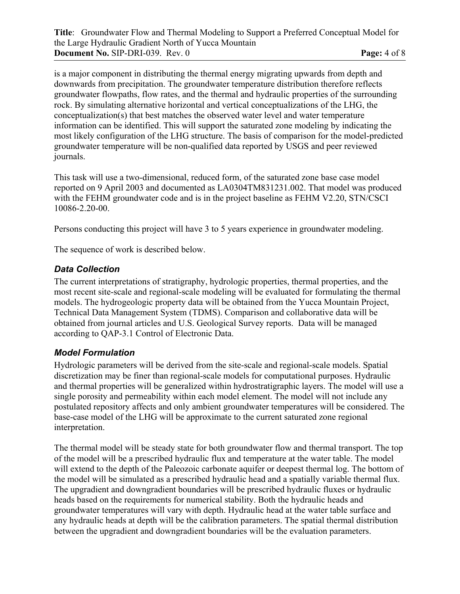is a major component in distributing the thermal energy migrating upwards from depth and downwards from precipitation. The groundwater temperature distribution therefore reflects groundwater flowpaths, flow rates, and the thermal and hydraulic properties of the surrounding rock. By simulating alternative horizontal and vertical conceptualizations of the LHG, the conceptualization(s) that best matches the observed water level and water temperature information can be identified. This will support the saturated zone modeling by indicating the most likely configuration of the LHG structure. The basis of comparison for the model-predicted groundwater temperature will be non-qualified data reported by USGS and peer reviewed journals.

This task will use a two-dimensional, reduced form, of the saturated zone base case model reported on 9 April 2003 and documented as LA0304TM831231.002. That model was produced with the FEHM groundwater code and is in the project baseline as FEHM V2.20, STN/CSCI 10086-2.20-00.

Persons conducting this project will have 3 to 5 years experience in groundwater modeling.

The sequence of work is described below.

## *Data Collection*

The current interpretations of stratigraphy, hydrologic properties, thermal properties, and the most recent site-scale and regional-scale modeling will be evaluated for formulating the thermal models. The hydrogeologic property data will be obtained from the Yucca Mountain Project, Technical Data Management System (TDMS). Comparison and collaborative data will be obtained from journal articles and U.S. Geological Survey reports. Data will be managed according to QAP-3.1 Control of Electronic Data.

## *Model Formulation*

Hydrologic parameters will be derived from the site-scale and regional-scale models. Spatial discretization may be finer than regional-scale models for computational purposes. Hydraulic and thermal properties will be generalized within hydrostratigraphic layers. The model will use a single porosity and permeability within each model element. The model will not include any postulated repository affects and only ambient groundwater temperatures will be considered. The base-case model of the LHG will be approximate to the current saturated zone regional interpretation.

The thermal model will be steady state for both groundwater flow and thermal transport. The top of the model will be a prescribed hydraulic flux and temperature at the water table. The model will extend to the depth of the Paleozoic carbonate aquifer or deepest thermal log. The bottom of the model will be simulated as a prescribed hydraulic head and a spatially variable thermal flux. The upgradient and downgradient boundaries will be prescribed hydraulic fluxes or hydraulic heads based on the requirements for numerical stability. Both the hydraulic heads and groundwater temperatures will vary with depth. Hydraulic head at the water table surface and any hydraulic heads at depth will be the calibration parameters. The spatial thermal distribution between the upgradient and downgradient boundaries will be the evaluation parameters.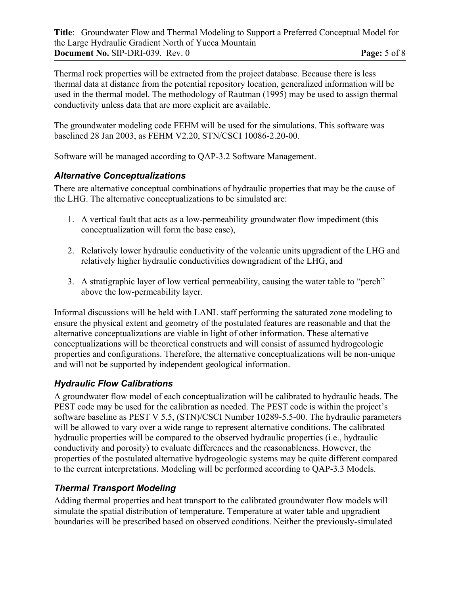Thermal rock properties will be extracted from the project database. Because there is less thermal data at distance from the potential repository location, generalized information will be used in the thermal model. The methodology of Rautman (1995) may be used to assign thermal conductivity unless data that are more explicit are available.

The groundwater modeling code FEHM will be used for the simulations. This software was baselined 28 Jan 2003, as FEHM V2.20, STN/CSCI 10086-2.20-00.

Software will be managed according to QAP-3.2 Software Management.

## *Alternative Conceptualizations*

There are alternative conceptual combinations of hydraulic properties that may be the cause of the LHG. The alternative conceptualizations to be simulated are:

- 1. A vertical fault that acts as a low-permeability groundwater flow impediment (this conceptualization will form the base case),
- 2. Relatively lower hydraulic conductivity of the volcanic units upgradient of the LHG and relatively higher hydraulic conductivities downgradient of the LHG, and
- 3. A stratigraphic layer of low vertical permeability, causing the water table to "perch" above the low-permeability layer.

Informal discussions will he held with LANL staff performing the saturated zone modeling to ensure the physical extent and geometry of the postulated features are reasonable and that the alternative conceptualizations are viable in light of other information. These alternative conceptualizations will be theoretical constructs and will consist of assumed hydrogeologic properties and configurations. Therefore, the alternative conceptualizations will be non-unique and will not be supported by independent geological information.

## *Hydraulic Flow Calibrations*

A groundwater flow model of each conceptualization will be calibrated to hydraulic heads. The PEST code may be used for the calibration as needed. The PEST code is within the project's software baseline as PEST V 5.5, (STN)/CSCI Number 10289-5.5-00. The hydraulic parameters will be allowed to vary over a wide range to represent alternative conditions. The calibrated hydraulic properties will be compared to the observed hydraulic properties (i.e., hydraulic conductivity and porosity) to evaluate differences and the reasonableness. However, the properties of the postulated alternative hydrogeologic systems may be quite different compared to the current interpretations. Modeling will be performed according to QAP-3.3 Models.

## *Thermal Transport Modeling*

Adding thermal properties and heat transport to the calibrated groundwater flow models will simulate the spatial distribution of temperature. Temperature at water table and upgradient boundaries will be prescribed based on observed conditions. Neither the previously-simulated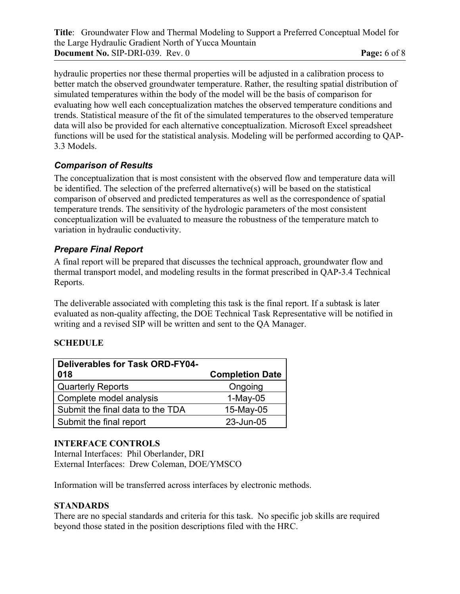hydraulic properties nor these thermal properties will be adjusted in a calibration process to better match the observed groundwater temperature. Rather, the resulting spatial distribution of simulated temperatures within the body of the model will be the basis of comparison for evaluating how well each conceptualization matches the observed temperature conditions and trends. Statistical measure of the fit of the simulated temperatures to the observed temperature data will also be provided for each alternative conceptualization. Microsoft Excel spreadsheet functions will be used for the statistical analysis. Modeling will be performed according to QAP-3.3 Models.

## *Comparison of Results*

The conceptualization that is most consistent with the observed flow and temperature data will be identified. The selection of the preferred alternative(s) will be based on the statistical comparison of observed and predicted temperatures as well as the correspondence of spatial temperature trends. The sensitivity of the hydrologic parameters of the most consistent conceptualization will be evaluated to measure the robustness of the temperature match to variation in hydraulic conductivity.

## *Prepare Final Report*

A final report will be prepared that discusses the technical approach, groundwater flow and thermal transport model, and modeling results in the format prescribed in QAP-3.4 Technical Reports.

The deliverable associated with completing this task is the final report. If a subtask is later evaluated as non-quality affecting, the DOE Technical Task Representative will be notified in writing and a revised SIP will be written and sent to the QA Manager.

## **SCHEDULE**

| <b>Deliverables for Task ORD-FY04-</b><br>018 | <b>Completion Date</b> |
|-----------------------------------------------|------------------------|
| <b>Quarterly Reports</b>                      | Ongoing                |
| Complete model analysis                       | $1-May-05$             |
| Submit the final data to the TDA              | 15-May-05              |
| Submit the final report                       | 23-Jun-05              |

## **INTERFACE CONTROLS**

Internal Interfaces: Phil Oberlander, DRI External Interfaces: Drew Coleman, DOE/YMSCO

Information will be transferred across interfaces by electronic methods.

## **STANDARDS**

There are no special standards and criteria for this task. No specific job skills are required beyond those stated in the position descriptions filed with the HRC.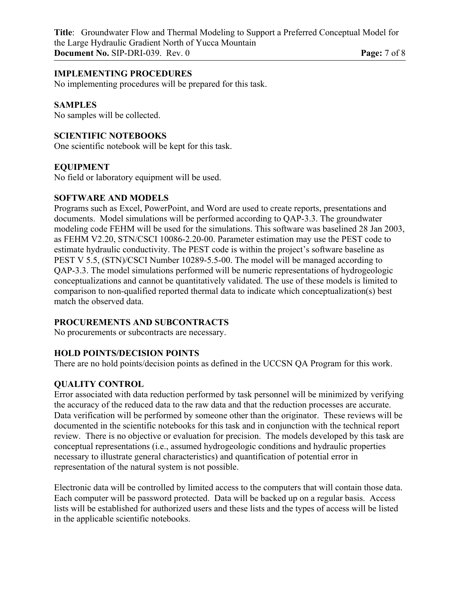**Title**: Groundwater Flow and Thermal Modeling to Support a Preferred Conceptual Model for the Large Hydraulic Gradient North of Yucca Mountain **Document No.** SIP-DRI-039. Rev. 0 **Page:**  $7 \text{ of } 8$ 

#### **IMPLEMENTING PROCEDURES**

No implementing procedures will be prepared for this task.

#### **SAMPLES**

No samples will be collected.

#### **SCIENTIFIC NOTEBOOKS**

One scientific notebook will be kept for this task.

#### **EQUIPMENT**

No field or laboratory equipment will be used.

#### **SOFTWARE AND MODELS**

Programs such as Excel, PowerPoint, and Word are used to create reports, presentations and documents. Model simulations will be performed according to QAP-3.3. The groundwater modeling code FEHM will be used for the simulations. This software was baselined 28 Jan 2003, as FEHM V2.20, STN/CSCI 10086-2.20-00. Parameter estimation may use the PEST code to estimate hydraulic conductivity. The PEST code is within the project's software baseline as PEST V 5.5, (STN)/CSCI Number 10289-5.5-00. The model will be managed according to QAP-3.3. The model simulations performed will be numeric representations of hydrogeologic conceptualizations and cannot be quantitatively validated. The use of these models is limited to comparison to non-qualified reported thermal data to indicate which conceptualization(s) best match the observed data.

#### **PROCUREMENTS AND SUBCONTRACTS**

No procurements or subcontracts are necessary.

#### **HOLD POINTS/DECISION POINTS**

There are no hold points/decision points as defined in the UCCSN QA Program for this work.

#### **QUALITY CONTROL**

Error associated with data reduction performed by task personnel will be minimized by verifying the accuracy of the reduced data to the raw data and that the reduction processes are accurate. Data verification will be performed by someone other than the originator. These reviews will be documented in the scientific notebooks for this task and in conjunction with the technical report review. There is no objective or evaluation for precision. The models developed by this task are conceptual representations (i.e., assumed hydrogeologic conditions and hydraulic properties necessary to illustrate general characteristics) and quantification of potential error in representation of the natural system is not possible.

Electronic data will be controlled by limited access to the computers that will contain those data. Each computer will be password protected. Data will be backed up on a regular basis. Access lists will be established for authorized users and these lists and the types of access will be listed in the applicable scientific notebooks.